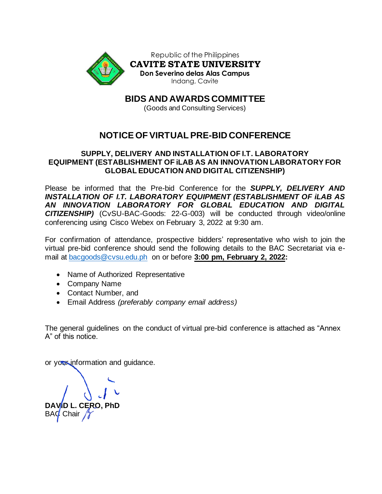

**BIDS AND AWARDS COMMITTEE**

(Goods and Consulting Services)

# **NOTICE OF VIRTUAL PRE-BID CONFERENCE**

## **SUPPLY, DELIVERY AND INSTALLATION OF I.T. LABORATORY EQUIPMENT (ESTABLISHMENT OF iLAB AS AN INNOVATION LABORATORY FOR GLOBAL EDUCATION AND DIGITAL CITIZENSHIP)**

Please be informed that the Pre-bid Conference for the *SUPPLY, DELIVERY AND INSTALLATION OF I.T. LABORATORY EQUIPMENT (ESTABLISHMENT OF iLAB AS AN INNOVATION LABORATORY FOR GLOBAL EDUCATION AND DIGITAL CITIZENSHIP)* (CvSU-BAC-Goods: 22-G-003) will be conducted through video/online conferencing using Cisco Webex on February 3, 2022 at 9:30 am.

For confirmation of attendance, prospective bidders' representative who wish to join the virtual pre-bid conference should send the following details to the BAC Secretariat via email at [bacgoods@cvsu.edu.ph](mailto:bacgoods@cvsu.edu.ph) on or before **3:00 pm, February 2, 2022:**

- Name of Authorized Representative
- Company Name
- Contact Number, and
- Email Address *(preferably company email address)*

The general guidelines on the conduct of virtual pre-bid conference is attached as "Annex A" of this notice.

or your information and guidance.

**CERO, PhD** BAC Chair